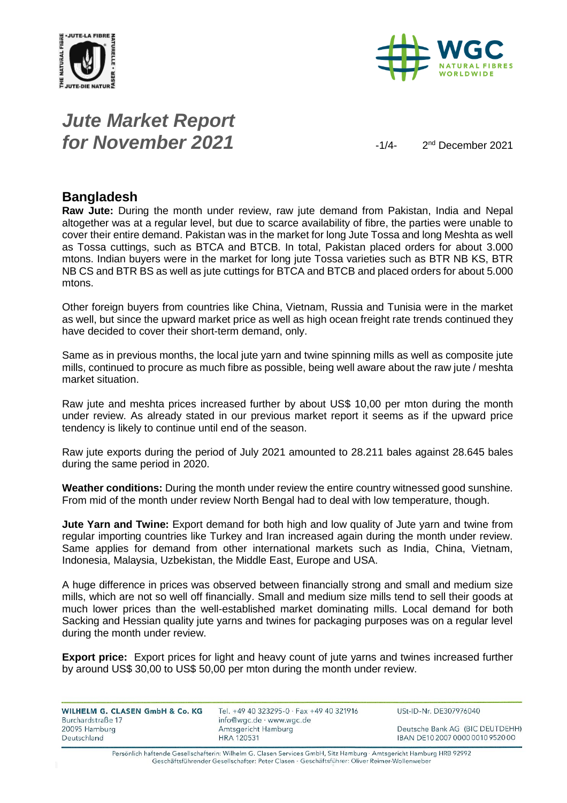



# *Jute Market Report for November 2021*  $\frac{1}{4}$

2<sup>nd</sup> December 2021

#### **Bangladesh**

**Raw Jute:** During the month under review, raw jute demand from Pakistan, India and Nepal altogether was at a regular level, but due to scarce availability of fibre, the parties were unable to cover their entire demand. Pakistan was in the market for long Jute Tossa and long Meshta as well as Tossa cuttings, such as BTCA and BTCB. In total, Pakistan placed orders for about 3.000 mtons. Indian buyers were in the market for long jute Tossa varieties such as BTR NB KS, BTR NB CS and BTR BS as well as jute cuttings for BTCA and BTCB and placed orders for about 5.000 mtons.

Other foreign buyers from countries like China, Vietnam, Russia and Tunisia were in the market as well, but since the upward market price as well as high ocean freight rate trends continued they have decided to cover their short-term demand, only.

Same as in previous months, the local jute yarn and twine spinning mills as well as composite jute mills, continued to procure as much fibre as possible, being well aware about the raw jute / meshta market situation.

Raw jute and meshta prices increased further by about US\$ 10,00 per mton during the month under review. As already stated in our previous market report it seems as if the upward price tendency is likely to continue until end of the season.

Raw jute exports during the period of July 2021 amounted to 28.211 bales against 28.645 bales during the same period in 2020.

**Weather conditions:** During the month under review the entire country witnessed good sunshine. From mid of the month under review North Bengal had to deal with low temperature, though.

**Jute Yarn and Twine:** Export demand for both high and low quality of Jute yarn and twine from regular importing countries like Turkey and Iran increased again during the month under review. Same applies for demand from other international markets such as India, China, Vietnam, Indonesia, Malaysia, Uzbekistan, the Middle East, Europe and USA.

A huge difference in prices was observed between financially strong and small and medium size mills, which are not so well off financially. Small and medium size mills tend to sell their goods at much lower prices than the well-established market dominating mills. Local demand for both Sacking and Hessian quality jute yarns and twines for packaging purposes was on a regular level during the month under review.

**Export price:** Export prices for light and heavy count of jute yarns and twines increased further by around US\$ 30,00 to US\$ 50,00 per mton during the month under review.

| WILHELM G. CLASEN GmbH & Co. KG | Tel. +49 40 323295-0 $\cdot$ Fax +49 40 321916 | USt-ID-Nr. DE307976040           |
|---------------------------------|------------------------------------------------|----------------------------------|
| Burchardstraße 17               | info@wgc.de · www.wgc.de                       |                                  |
| 20095 Hamburg                   | Amtsgericht Hamburg                            | Deutsche Bank AG (BIC DEUTDEHH)  |
| Deutschland                     | <b>HRA 120531</b>                              | IBAN DE10 2007 0000 0010 9520 00 |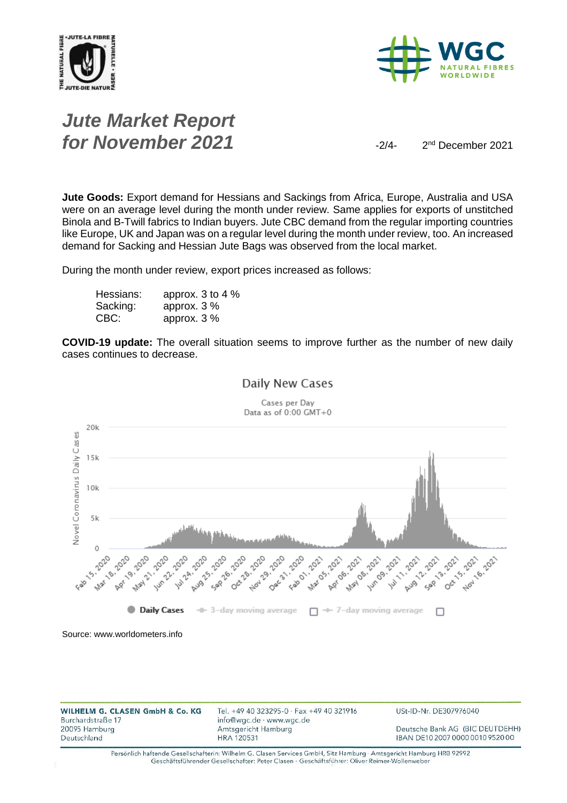



### *Jute Market Report for November 2021*  $\frac{2}{4}$

2<sup>nd</sup> December 2021

**Jute Goods:** Export demand for Hessians and Sackings from Africa, Europe, Australia and USA were on an average level during the month under review. Same applies for exports of unstitched Binola and B-Twill fabrics to Indian buyers. Jute CBC demand from the regular importing countries like Europe, UK and Japan was on a regular level during the month under review, too. An increased demand for Sacking and Hessian Jute Bags was observed from the local market.

During the month under review, export prices increased as follows:

| Hessians: | approx. 3 to 4 % |
|-----------|------------------|
| Sacking:  | approx. $3\%$    |
| CBC:      | approx. $3\%$    |

**COVID-19 update:** The overall situation seems to improve further as the number of new daily cases continues to decrease.



Daily New Cases

Source: www.worldometers.info

| WILHELM G. CLASEN GmbH & Co. KG<br>Burchardstraße 17 | Tel. +49 40 323295-0 · Fax +49 40 321916<br>info@wgc.de · www.wgc.de | USt-ID-Nr. DE307976040           |
|------------------------------------------------------|----------------------------------------------------------------------|----------------------------------|
| 20095 Hamburg                                        | Amtsgericht Hamburg                                                  | Deutsche Bank AG (BIC DEUTDEHH)  |
| Deutschland                                          | <b>HRA 120531</b>                                                    | IBAN DE10 2007 0000 0010 9520 00 |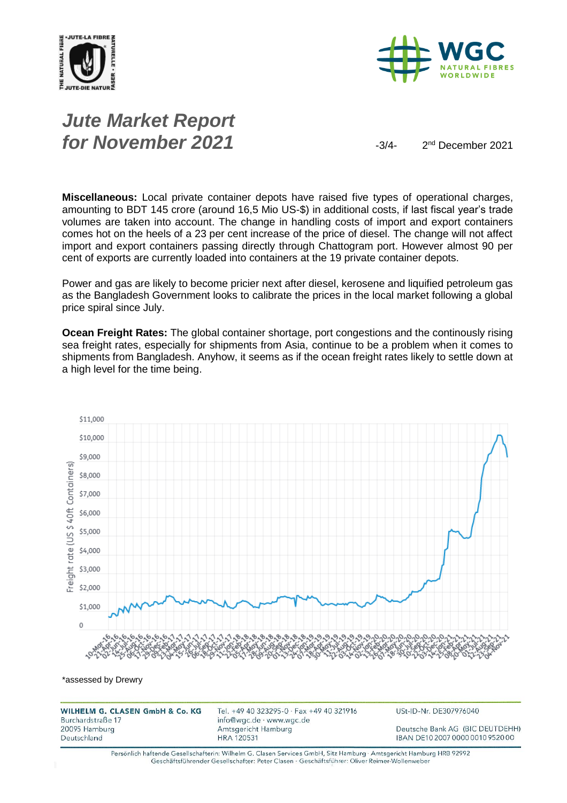



## *Jute Market Report for November 2021*  $\frac{3}{4}$

2<sup>nd</sup> December 2021

**Miscellaneous:** Local private container depots have raised five types of operational charges, amounting to BDT 145 crore (around 16,5 Mio US-\$) in additional costs, if last fiscal year's trade volumes are taken into account. The change in handling costs of import and export containers comes hot on the heels of a 23 per cent increase of the price of diesel. The change will not affect import and export containers passing directly through Chattogram port. However almost 90 per cent of exports are currently loaded into containers at the 19 private container depots.

Power and gas are likely to become pricier next after diesel, kerosene and liquified petroleum gas as the Bangladesh Government looks to calibrate the prices in the local market following a global price spiral since July.

**Ocean Freight Rates:** The global container shortage, port congestions and the continously rising sea freight rates, especially for shipments from Asia, continue to be a problem when it comes to shipments from Bangladesh. Anyhow, it seems as if the ocean freight rates likely to settle down at a high level for the time being.



\*assessed by Drewry

WILHELM G. CLASEN GmbH & Co. KG Burchardstraße 17 20095 Hamburg Deutschland

Tel. +49 40 323295-0 · Fax +49 40 321916 info@wgc.de · www.wgc.de Amtsgericht Hamburg **HRA 120531** 

USt-ID-Nr. DE307976040

Deutsche Bank AG (BIC DEUTDEHH) IBAN DE10 2007 0000 0010 9520 00